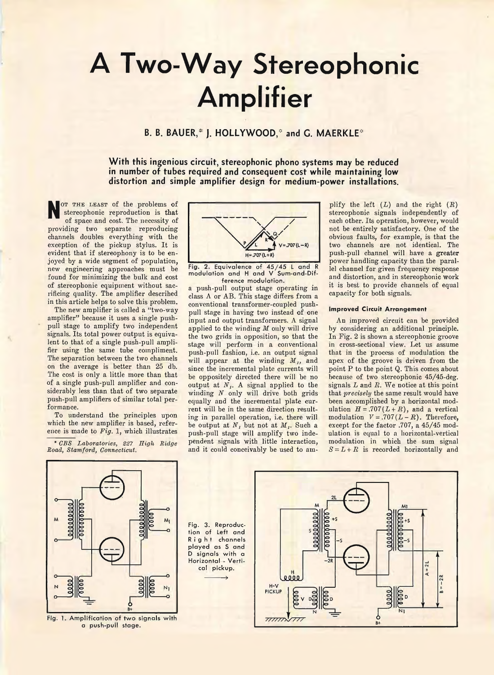# **A Two-Way Stereophonic Amplifier**

## **B. B. BAUER,\* J. HOLLYWOOD,\* and G. MAERKLE\***

**With this ingenious circuit, stereophonic phono systems may be reduced in number of tubes required and consequent cost while maintaining low distortion and simple amplifier design for medium-power installations.**

**N** ot the least of the problems of stereophonic reproduction is that of space and cost. The necessity of providing two separate reproducing channels doubles everything with the exception of the pickup stylus. It is evident that if stereophony is to be enjoyed by a wide segment of population, new engineering approaches must be found for minimizing the bulk and cost of stereophonic equipment without sacrificing quality. The amplifier descrihed in this article helps to solve this problem.

The new amplifier is called a "two-way amplifier" because it uses a single pushpull stage to amplify two independent signals. Its total power output is equivalent to that of a single push-pull amplifier using the same tube compliment. The separation between the two channels on the average is better than 25 db. The cost is only a little more than that of a single push-pull amplifier and considerably less than that of two separate push-pull amplifiers of similar total performance.

To understand the principles upon which the new amplifier is based, reference is made to *Fig.* 1, which illustrates

\* *CBS Laboratories, 227 High Ridge Road, Stamford, Connecticut.*



Fig. 2. Equivalence of  $45/45$  L and R<br>modulation and H and V Sum-and-Difference modulation.

a push-pull output stage operating in class A or AB. This stage differs from a conventional transformer-coupled pushpull stage in having two instead of one input and output transformers. A signal applied to the winding *M* only will drive the two grids in opposition, so that the stage will perform in a conventional push-pull fashion, i.e. an output signal will appear at the winding *M,,* and since the incremental plate currents will be oppositely directed there will he no output at *N,.* A signal applied to the winding *N* only will drive both grids equally and the incremental plate current will be in the same direction resulting in parallel operation, i.e. there will be output at  $N_i$  but not at  $M_i$ . Such a push-pull stage will amplify two independent signals with little interaction, and it could conceivably he used to am-

plify the left  $(L)$  and the right  $(R)$ stereophonic signals independently of each other. Its operation, however, would not be entirely satisfactory. One of the obvious faults, for example, is that the two channels are not identical. The push-pull channel will have a greater power handling capacity than the parallel channel for given frequency response and distortion, and in stereophonic work it is best to provide channels of equal capacity for both signals.

#### **Improved Circuit Arrangement**

An improved circuit can be provided by considering an additional principle. In Fig. 2 is shown a stereophonic groove in cross-sectional view. Let us assume that in the process of modulation the apex of the groove is driven from the point P to the point Q. This comes about because of two stereophonic 45/45-deg. signals *L* and *R.* We notice at this point that *precisely* the same result would have been accomplished by a horizontal modulation  $H = .707(L+R)$ , and a vertical modulation  $V = .707(L - R)$ . Therefore, except for the factor .707, a 45/45 modulation is equal to a horizontal-vertical modulation in which the sum signal  $S = L + R$  is recorded horizontally and



Fig. 1. Amplification of two signals with a push-pull stage.

Fig. 3. Reproduction of Left and Right channels played as S and D signals with a <u>Horizontal - Verti-</u> cal pickup.

 $\longrightarrow$ 

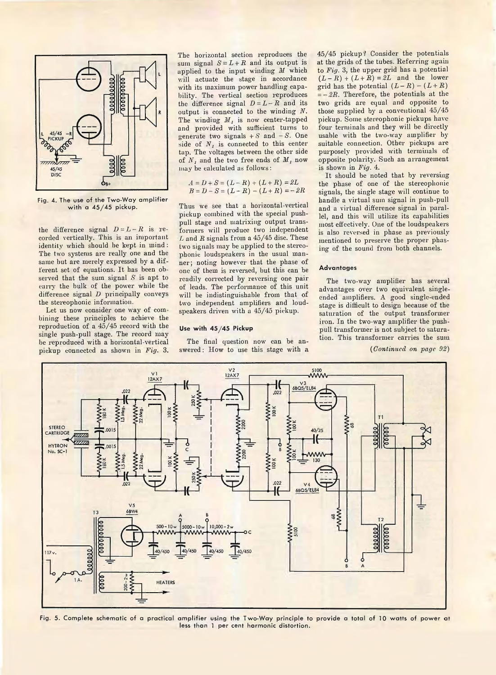

Fig. 4. The use of the Two-Way amplifier with a  $45/45$  pickup.

the difference signal  $D = L - R$  is recorded vertically. This is an important identity which should be kept in mind : The two systems are really one and the same but are merely expressed by a different set of equations. It has been observed that the sum signal *S* is apt to carry the bulk of the power while the difference signal *D* principally conveys the stereophonic information.

Let us now consider one way of combining these principles to achieve the reproduction of a 45/45 record with the single push-pull stage. The record may be reproduced with a horizontal-vertical pickup connected as shown in *Fig.* 3.

The horizontal section reproduces the sum signal  $S = L + R$  and its output is applied to the input winding *M* which will actuate the stage in accordance with its maximum power handling capability. The vertical section reproduces the difference signal  $D = L - R$  and its output is connected to the winding *N.* The windiug  $M<sub>1</sub>$  is now center-tapped and provided with sufficient turns to generate two signals  $+ S$  and  $- S$ . One side of  $N_i$ , is connected to this center tap. The voltages between the other side of *Nj* and the two free ends of M, now may be calculated as follows:

$$
A = D + S = (L - R) + (L + R) = 2L
$$
  
B = D - S = (L - R) - (L + R) = - 2R

Thus we see that a horizontal-vertical pickup combined with the special pushpull stage and matrixing output transformers will produce two independent *L* and *B* signals from a 45/45 disc. These two signals may be applied to the stereophonic loudspeakers in the usual manner; noting however that the phase of one of them is reversed, but this can be readily corrected by reversing one pair of leads. The performance of this unit will be indistinguishable from that of two independent amplifiers and loudspeakers driven with a 45/45 pickup.

#### Use **with 45/45 Pickup**

The final question now can be answered: How to use this stage with a

45/45 pickup? Consider the potentials at the grids of the tubes. Referring again to *Fig.* 3, the upper grid has a potential  $(L - R) + (L + R) = 2L$  and the lower grid has the potential  $(L - R) - (L + R)$  $= -2R$ . Therefore, the potentials at the two grids are equal and opposite to those supplied by a conventional 45/45 pickup. Some stereophonic pickups have four terminals and they will be directly usable with the two-way amplifier by suitable connection. Other pickups are purposely provided with terminals of opposite polarity. Such an arrangement is shown in *Fig.* 4.

It should be noted that by reversing the phase of one of the stereophonic signals, the single stage will continue to handle a virtual sum signal in push-pull and a virtual difference signal in parallel, and this will utilize its capabilities most effectively. One of the loudspeakers is also reversed in phase as previously mentioned to preserve the proper phasing of the sound from both channels.

### **Advantages**

The two-way amplifier has several advantages over two equivalent singleended amplifiers. A good single-ended stage is difficult to design because of the saturation of the output transformer iron. In the two-way amplifier the pushpull transformer is not subject to saturation. This transformer carries the sum

*{Continued on page 92)*



Fig. 5. Complete schematic of a practical amplifier using the Two-Way principle to provide a total of 10 watts of power at less than 1 per cent harmonic distortion.